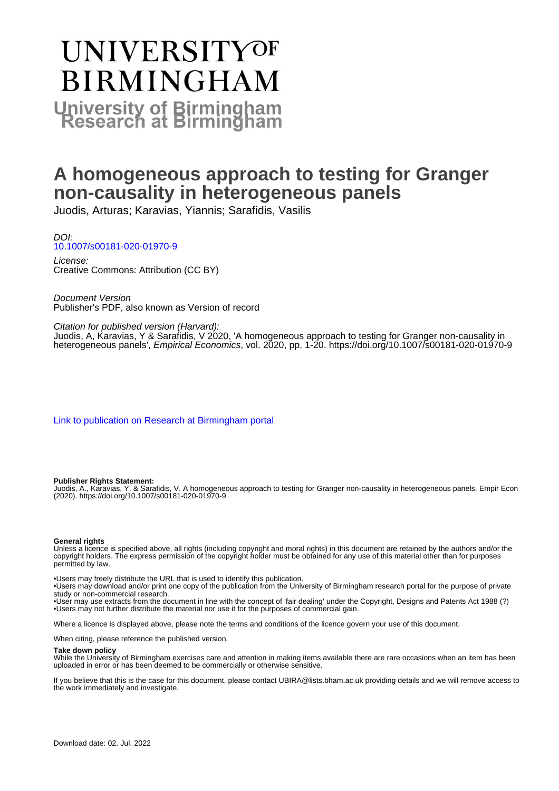# **UNIVERSITYOF BIRMINGHAM University of Birmingham**

## **A homogeneous approach to testing for Granger non-causality in heterogeneous panels**

Juodis, Arturas; Karavias, Yiannis; Sarafidis, Vasilis

DOI: [10.1007/s00181-020-01970-9](https://doi.org/10.1007/s00181-020-01970-9)

License: Creative Commons: Attribution (CC BY)

Document Version Publisher's PDF, also known as Version of record

Citation for published version (Harvard):

Juodis, A, Karavias, Y & Sarafidis, V 2020, 'A homogeneous approach to testing for Granger non-causality in heterogeneous panels', Empirical Economics, vol. 2020, pp. 1-20.<https://doi.org/10.1007/s00181-020-01970-9>

[Link to publication on Research at Birmingham portal](https://birmingham.elsevierpure.com/en/publications/91f591a6-6561-43ba-bcbb-c53cf6b12349)

#### **Publisher Rights Statement:**

Juodis, A., Karavias, Y. & Sarafidis, V. A homogeneous approach to testing for Granger non-causality in heterogeneous panels. Empir Econ (2020). https://doi.org/10.1007/s00181-020-01970-9

#### **General rights**

Unless a licence is specified above, all rights (including copyright and moral rights) in this document are retained by the authors and/or the copyright holders. The express permission of the copyright holder must be obtained for any use of this material other than for purposes permitted by law.

• Users may freely distribute the URL that is used to identify this publication.

• Users may download and/or print one copy of the publication from the University of Birmingham research portal for the purpose of private study or non-commercial research.

• User may use extracts from the document in line with the concept of 'fair dealing' under the Copyright, Designs and Patents Act 1988 (?) • Users may not further distribute the material nor use it for the purposes of commercial gain.

Where a licence is displayed above, please note the terms and conditions of the licence govern your use of this document.

When citing, please reference the published version.

#### **Take down policy**

While the University of Birmingham exercises care and attention in making items available there are rare occasions when an item has been uploaded in error or has been deemed to be commercially or otherwise sensitive.

If you believe that this is the case for this document, please contact UBIRA@lists.bham.ac.uk providing details and we will remove access to the work immediately and investigate.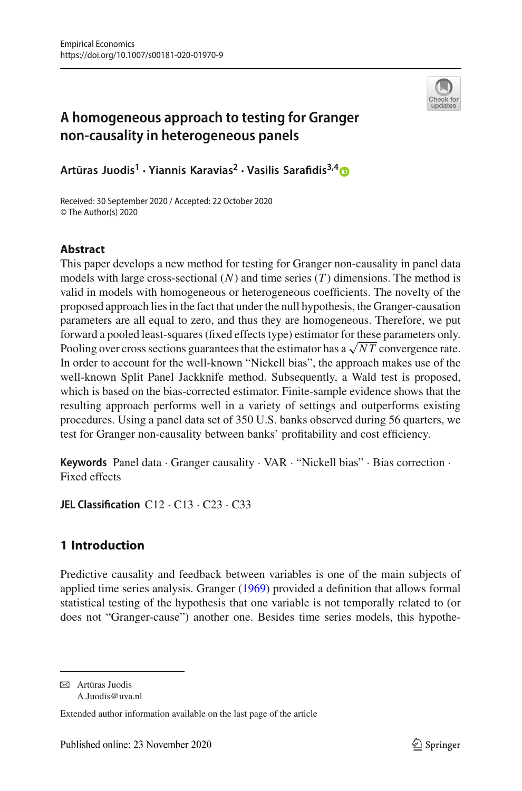

## **A homogeneous approach to testing for Granger non-causality in heterogeneous panels**

**Art ¯uras Juodis<sup>1</sup> · Yiannis Karavias<sup>2</sup> · Vasilis Sarafidis3,[4](http://orcid.org/0000-0001-6808-3947)**

Received: 30 September 2020 / Accepted: 22 October 2020 © The Author(s) 2020

#### **Abstract**

This paper develops a new method for testing for Granger non-causality in panel data models with large cross-sectional (*N*) and time series (*T* ) dimensions. The method is valid in models with homogeneous or heterogeneous coefficients. The novelty of the proposed approach lies in the fact that under the null hypothesis, the Granger-causation parameters are all equal to zero, and thus they are homogeneous. Therefore, we put forward a pooled least-squares (fixed effects type) estimator for these parameters only. Pooling over cross sections guarantees that the estimator has a  $\sqrt{NT}$  convergence rate. In order to account for the well-known "Nickell bias", the approach makes use of the well-known Split Panel Jackknife method. Subsequently, a Wald test is proposed, which is based on the bias-corrected estimator. Finite-sample evidence shows that the resulting approach performs well in a variety of settings and outperforms existing procedures. Using a panel data set of 350 U.S. banks observed during 56 quarters, we test for Granger non-causality between banks' profitability and cost efficiency.

**Keywords** Panel data · Granger causality · VAR · "Nickell bias" · Bias correction · Fixed effects

**JEL Classification** C12 · C13 · C23 · C33

### **1 Introduction**

Predictive causality and feedback between variables is one of the main subjects of applied time series analysis. Grange[r](#page-19-0) [\(1969\)](#page-19-0) provided a definition that allows formal statistical testing of the hypothesis that one variable is not temporally related to (or does not "Granger-cause") another one. Besides time series models, this hypothe-

 $\boxtimes$  Artūras Juodis A.Juodis@uva.nl

Extended author information available on the last page of the article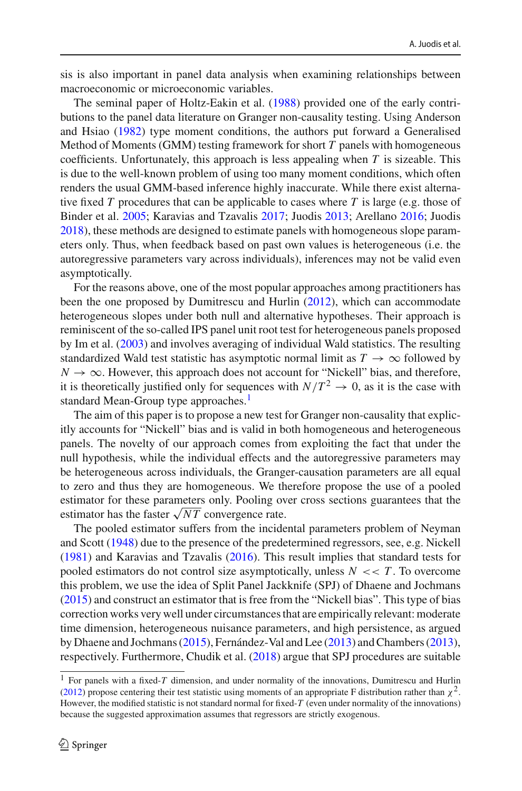sis is also important in panel data analysis when examining relationships between macroeconomic or microeconomic variables.

The seminal paper of Holtz-Eakin et al[.](#page-19-1) [\(1988\)](#page-19-1) provided one of the early contributions to the panel data literature on Granger non-causality testing. Using Anderson and Hsia[o](#page-19-2) [\(1982](#page-19-2)) type moment conditions, the authors put forward a Generalised Method of Moments (GMM) testing framework for short *T* panels with homogeneous coefficients. Unfortunately, this approach is less appealing when  $T$  is sizeable. This is due to the well-known problem of using too many moment conditions, which often renders the usual GMM-based inference highly inaccurate. While there exist alternative fixed  $T$  procedures that can be applicable to cases where  $T$  is large (e.g. those of Binder et al[.](#page-19-3) [2005](#page-19-3); Karavias and Tzavali[s](#page-19-4) [2017;](#page-19-4) Juodi[s](#page-19-5) [2013;](#page-19-5) Arellan[o](#page-19-6) [2016;](#page-19-6) Juodi[s](#page-19-7) [2018\)](#page-19-7), these methods are designed to estimate panels with homogeneous slope parameters only. Thus, when feedback based on past own values is heterogeneous (i.e. the autoregressive parameters vary across individuals), inferences may not be valid even asymptotically.

For the reasons above, one of the most popular approaches among practitioners has been the one proposed by Dumitrescu and Hurli[n](#page-19-8) [\(2012\)](#page-19-8), which can accommodate heterogeneous slopes under both null and alternative hypotheses. Their approach is reminiscent of the so-called IPS panel unit root test for heterogeneous panels proposed by Im et al[.](#page-19-9) [\(2003](#page-19-9)) and involves averaging of individual Wald statistics. The resulting standardized Wald test statistic has asymptotic normal limit as  $T \to \infty$  followed by  $N \to \infty$ . However, this approach does not account for "Nickell" bias, and therefore, it is theoretically justified only for sequences with  $N/T^2 \rightarrow 0$ , as it is the case with standard Mean-Group type approaches.<sup>1</sup>

The aim of this paper is to propose a new test for Granger non-causality that explicitly accounts for "Nickell" bias and is valid in both homogeneous and heterogeneous panels. The novelty of our approach comes from exploiting the fact that under the null hypothesis, while the individual effects and the autoregressive parameters may be heterogeneous across individuals, the Granger-causation parameters are all equal to zero and thus they are homogeneous. We therefore propose the use of a pooled estimator for these parameters only. Pooling over cross sections guarantees that the estimator has the faster  $\sqrt{NT}$  convergence rate.

The pooled estimator suffers from the incidental parameters problem of Neyman and Scot[t](#page-19-10) [\(1948](#page-19-10)) due to the presence of the predetermined regressors, see, e.g. Nickel[l](#page-19-11) [\(1981\)](#page-19-11) and Karavias and Tzavali[s](#page-19-12) [\(2016](#page-19-12)). This result implies that standard tests for pooled estimators do not control size asymptotically, unless  $N \ll T$ . To overcome this problem, we use the idea of Split Panel Jackknife (SPJ) of Dhaene and Jochman[s](#page-19-13) [\(2015\)](#page-19-13) and construct an estimator that is free from the "Nickell bias". This type of bias correction works very well under circumstances that are empirically relevant: moderate time dimension, heterogeneous nuisance parameters, and high persistence, as argued by Dhaene and Jochman[s](#page-19-13) [\(2015\)](#page-19-13), Fernández-Val and Le[e](#page-19-14) [\(2013](#page-19-14)) and Chamber[s](#page-19-15) [\(2013](#page-19-15)), respectively. Furthermore, Chudik et al[.](#page-19-16) [\(2018\)](#page-19-16) argue that SPJ procedures are suitable

<span id="page-2-0"></span><sup>1</sup> For panels with a fixed-*T* dimension, and under normality of the innovations, Dumitrescu and Hurli[n](#page-19-8) [\(2012](#page-19-8)) propose centering their test statistic using moments of an appropriate F distribution rather than  $\chi^2$ . However, the modified statistic is not standard normal for fixed-*T* (even under normality of the innovations) because the suggested approximation assumes that regressors are strictly exogenous.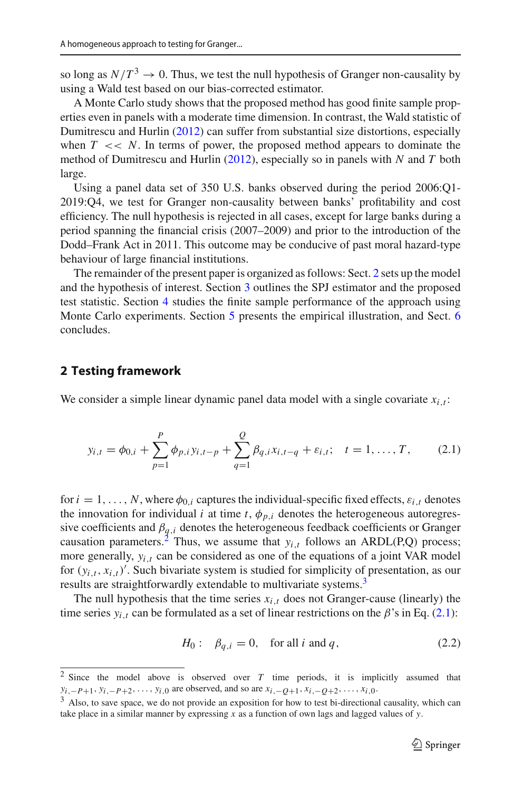so long as  $N/T^3 \to 0$ . Thus, we test the null hypothesis of Granger non-causality by using a Wald test based on our bias-corrected estimator.

A Monte Carlo study shows that the proposed method has good finite sample properties even in panels with a moderate time dimension. In contrast, the Wald statistic of Dumitrescu and Hurli[n](#page-19-8) [\(2012](#page-19-8)) can suffer from substantial size distortions, especially when  $T \ll N$ . In terms of power, the proposed method appears to dominate the method of Dumitrescu and Hurli[n](#page-19-8) [\(2012\)](#page-19-8), especially so in panels with *N* and *T* both large.

Using a panel data set of 350 U.S. banks observed during the period 2006:Q1- 2019:Q4, we test for Granger non-causality between banks' profitability and cost efficiency. The null hypothesis is rejected in all cases, except for large banks during a period spanning the financial crisis (2007–2009) and prior to the introduction of the Dodd–Frank Act in 2011. This outcome may be conducive of past moral hazard-type behaviour of large financial institutions.

The remainder of the present paper is organized as follows: Sect. [2](#page-3-0) sets up the model and the hypothesis of interest. Section [3](#page-4-0) outlines the SPJ estimator and the proposed test statistic. Section [4](#page-7-0) studies the finite sample performance of the approach using Monte Carlo experiments. Section [5](#page-9-0) presents the empirical illustration, and Sect. [6](#page-13-0) concludes.

#### <span id="page-3-0"></span>**2 Testing framework**

We consider a simple linear dynamic panel data model with a single covariate  $x_{i,t}$ :

<span id="page-3-3"></span>
$$
y_{i,t} = \phi_{0,i} + \sum_{p=1}^{P} \phi_{p,i} y_{i,t-p} + \sum_{q=1}^{Q} \beta_{q,i} x_{i,t-q} + \varepsilon_{i,t}; \quad t = 1, ..., T,
$$
 (2.1)

for  $i = 1, \ldots, N$ , where  $\phi_{0,i}$  captures the individual-specific fixed effects,  $\varepsilon_{i,t}$  denotes the innovation for individual *i* at time *t*,  $\phi_{p,i}$  denotes the heterogeneous autoregressive coefficients and  $\beta_{q,i}$  denotes the heterogeneous feedback coefficients or Granger causation parameters.<sup>2</sup> Thus, we assume that  $y_{i,t}$  follows an ARDL(P,Q) process; more generally,  $y_{i,t}$  can be considered as one of the equations of a joint VAR model for (*yi*,*t*, *xi*,*t*) . Such bivariate system is studied for simplicity of presentation, as our results are straightforwardly extendable to multivariate systems.<sup>3</sup>

The null hypothesis that the time series  $x_{i,t}$  does not Granger-cause (linearly) the time series  $y_{i,t}$  can be formulated as a set of linear restrictions on the  $\beta$ 's in Eq. [\(2.1\)](#page-3-3):

$$
H_0: \quad \beta_{q,i} = 0, \quad \text{for all } i \text{ and } q,\tag{2.2}
$$

<span id="page-3-1"></span><sup>2</sup> Since the model above is observed over *T* time periods, it is implicitly assumed that *y*<sub>*i*</sub>,−*P*+1, *y*<sub>*i*</sub>,−*P*+2,..., *y*<sub>*i*</sub>,0 are observed, and so are *x*<sub>*i*</sub>,−*Q*+1, *x*<sub>*i*</sub>,−*Q*+2,..., *x*<sub>*i*</sub>,0.

<span id="page-3-2"></span> $3$  Also, to save space, we do not provide an exposition for how to test bi-directional causality, which can take place in a similar manner by expressing *x* as a function of own lags and lagged values of *y*.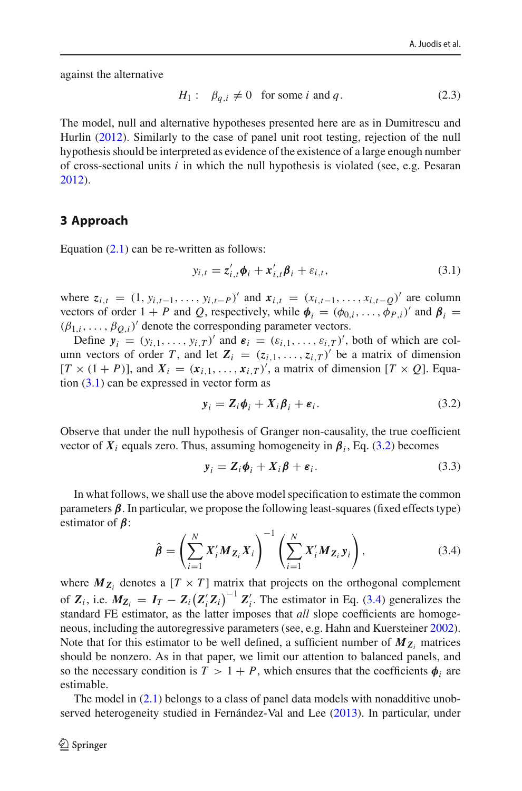against the alternative

$$
H_1: \quad \beta_{q,i} \neq 0 \quad \text{for some } i \text{ and } q. \tag{2.3}
$$

The model, null and alternative hypotheses presented here are as in Dumitrescu and Hurli[n](#page-19-8) [\(2012](#page-19-8)). Similarly to the case of panel unit root testing, rejection of the null hypothesis should be interpreted as evidence of the existence of a large enough number of cross-sectional units *i* in which the null hypothesis is violated (see, e.g. Pesara[n](#page-20-0) [2012\)](#page-20-0).

#### <span id="page-4-0"></span>**3 Approach**

Equation  $(2.1)$  can be re-written as follows:

<span id="page-4-1"></span>
$$
y_{i,t} = z'_{i,t} \phi_i + x'_{i,t} \beta_i + \varepsilon_{i,t},
$$
\n(3.1)

where  $z_{i,t} = (1, y_{i,t-1}, \ldots, y_{i,t-P})'$  and  $x_{i,t} = (x_{i,t-1}, \ldots, x_{i,t-O})'$  are column vectors of order  $1 + P$  and *Q*, respectively, while  $\phi_i = (\phi_{0,i}, \dots, \phi_{P,i})'$  and  $\beta_i =$  $(\beta_{1,i}, \ldots, \beta_{Q,i})'$  denote the corresponding parameter vectors.

Define  $y_i = (y_{i,1}, \ldots, y_{i,T})'$  and  $\varepsilon_i = (\varepsilon_{i,1}, \ldots, \varepsilon_{i,T})'$ , both of which are column vectors of order *T*, and let  $Z_i = (z_{i,1}, \ldots, z_{i,T})'$  be a matrix of dimension  $[T \times (1 + P)]$ , and  $X_i = (x_{i,1}, \ldots, x_{i,T})'$ , a matrix of dimension  $[T \times Q]$ . Equation  $(3.1)$  can be expressed in vector form as

<span id="page-4-2"></span>
$$
\mathbf{y}_i = \mathbf{Z}_i \boldsymbol{\phi}_i + \mathbf{X}_i \boldsymbol{\beta}_i + \boldsymbol{\varepsilon}_i. \tag{3.2}
$$

Observe that under the null hypothesis of Granger non-causality, the true coefficient vector of  $X_i$  equals zero. Thus, assuming homogeneity in  $\beta_i$ , Eq. [\(3.2\)](#page-4-2) becomes

$$
\mathbf{y}_i = \mathbf{Z}_i \boldsymbol{\phi}_i + \mathbf{X}_i \boldsymbol{\beta} + \boldsymbol{\varepsilon}_i. \tag{3.3}
$$

In what follows, we shall use the above model specification to estimate the common parameters  $\beta$ . In particular, we propose the following least-squares (fixed effects type) estimator of *β*:

<span id="page-4-3"></span>
$$
\hat{\boldsymbol{\beta}} = \left(\sum_{i=1}^N X_i' M_{Z_i} X_i\right)^{-1} \left(\sum_{i=1}^N X_i' M_{Z_i} y_i\right), \tag{3.4}
$$

where  $M_{Z_i}$  denotes a  $[T \times T]$  matrix that projects on the orthogonal complement of  $Z_i$ , i.e.  $M_{Z_i} = I_T - Z_i (Z_i' Z_i)^{-1} Z_i'$ . The estimator in Eq. [\(3.4\)](#page-4-3) generalizes the standard FE estimator, as the latter imposes that *all* slope coefficients are homogeneous, including the autoregressive parameters (see, e.g. Hahn and Kuersteine[r](#page-19-17) [2002](#page-19-17)). Note that for this estimator to be well defined, a sufficient number of  $M_{Z_i}$  matrices should be nonzero. As in that paper, we limit our attention to balanced panels, and so the necessary condition is  $T > 1 + P$ , which ensures that the coefficients  $\phi_i$  are estimable.

The model in  $(2.1)$  belongs to a class of panel data models with nonadditive unobserved heterogeneity studied in Fernández-Val and Le[e](#page-19-14) [\(2013](#page-19-14)). In particular, under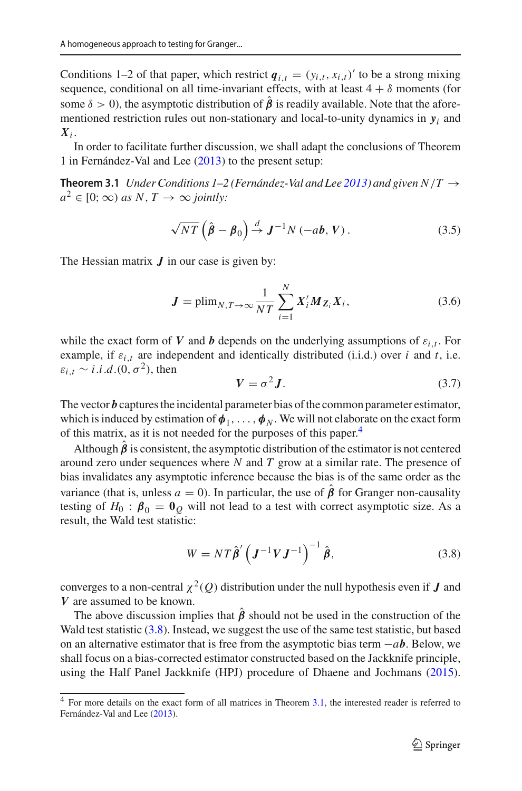Conditions 1–2 of that paper, which restrict  $q_{i,t} = (y_{i,t}, x_{i,t})'$  to be a strong mixing sequence, conditional on all time-invariant effects, with at least  $4 + \delta$  moments (for some  $\delta > 0$ ), the asymptotic distribution of  $\hat{\beta}$  is readily available. Note that the aforementioned restriction rules out non-stationary and local-to-unity dynamics in  $y_i$  and  $X_i$ .

In order to facilitate further discussion, we shall adapt the conclusions of Theorem 1 in Fernández-Val and Le[e](#page-19-14) [\(2013\)](#page-19-14) to the present setup:

**Th[e](#page-19-14)orem 3.1** *Under Conditions 1–2 (Fernández-Val and Lee [2013](#page-19-14)) and given N /T*  $\rightarrow$  $a^2 \in [0; \infty)$  *as N*,  $T \to \infty$  *jointly:* 

<span id="page-5-3"></span><span id="page-5-2"></span>
$$
\sqrt{NT}\left(\hat{\boldsymbol{\beta}} - \boldsymbol{\beta}_0\right) \stackrel{d}{\rightarrow} \boldsymbol{J}^{-1}N\left(-a\boldsymbol{b}, \boldsymbol{V}\right). \tag{3.5}
$$

The Hessian matrix *J* in our case is given by:

$$
\boldsymbol{J} = \text{plim}_{N,T \to \infty} \frac{1}{NT} \sum_{i=1}^{N} \boldsymbol{X}'_i \boldsymbol{M}_{\boldsymbol{Z}_i} \boldsymbol{X}_i, \tag{3.6}
$$

while the exact form of *V* and *b* depends on the underlying assumptions of  $\varepsilon_i$ , For example, if  $\varepsilon_{i,t}$  are independent and identically distributed (i.i.d.) over *i* and *t*, i.e.  $\varepsilon_{i,t} \sim i.i.d. (0, \sigma^2)$ , then

$$
V = \sigma^2 J. \tag{3.7}
$$

The vector *b* captures the incidental parameter bias of the common parameter estimator, which is induced by estimation of  $\phi_1, \ldots, \phi_N$ . We will not elaborate on the exact form of this matrix, as it is not needed for the purposes of this paper[.4](#page-5-0)

Although  $\hat{\beta}$  is consistent, the asymptotic distribution of the estimator is not centered around zero under sequences where *N* and *T* grow at a similar rate. The presence of bias invalidates any asymptotic inference because the bias is of the same order as the variance (that is, unless  $a = 0$ ). In particular, the use of  $\hat{\beta}$  for Granger non-causality testing of  $H_0$ :  $\beta_0 = 0_Q$  will not lead to a test with correct asymptotic size. As a result, the Wald test statistic:

<span id="page-5-1"></span>
$$
W = N T \hat{\beta}' \left( \mathbf{J}^{-1} V \mathbf{J}^{-1} \right)^{-1} \hat{\beta}, \tag{3.8}
$$

converges to a non-central  $\chi^2(Q)$  distribution under the null hypothesis even if *J* and *V* are assumed to be known.

The above discussion implies that *β*ˆ should not be used in the construction of the Wald test statistic [\(3.8\)](#page-5-1). Instead, we suggest the use of the same test statistic, but based on an alternative estimator that is free from the asymptotic bias term −*ab*. Below, we shall focus on a bias-corrected estimator constructed based on the Jackknife principle, using the Half Panel Jackknife (HPJ) procedure of Dhaene and Jochman[s](#page-19-13) [\(2015](#page-19-13)).

<span id="page-5-0"></span><sup>4</sup> For more details on the exact form of all matrices in Theorem [3.1,](#page-5-2) the interested reader is referred to Fernández-Val and Le[e](#page-19-14) [\(2013](#page-19-14)).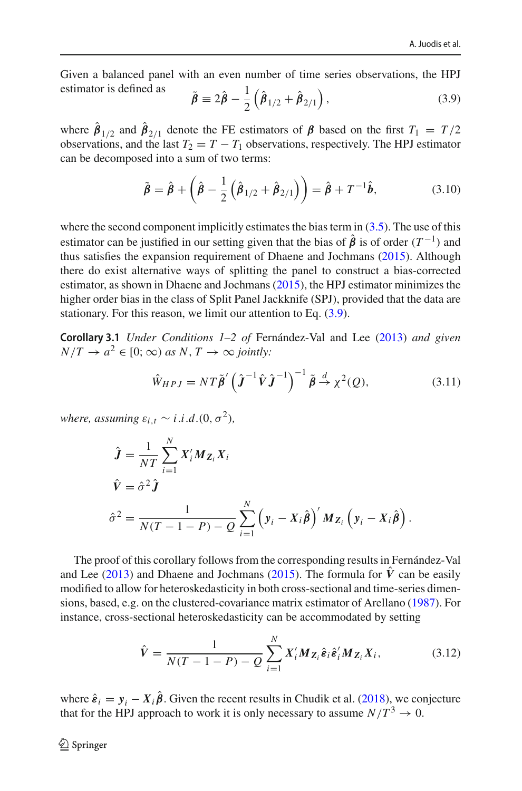Given a balanced panel with an even number of time series observations, the HPJ estimator is defined as

<span id="page-6-0"></span>
$$
\tilde{\boldsymbol{\beta}} \equiv 2\hat{\boldsymbol{\beta}} - \frac{1}{2} \left( \hat{\boldsymbol{\beta}}_{1/2} + \hat{\boldsymbol{\beta}}_{2/1} \right), \tag{3.9}
$$

where  $\hat{\beta}_{1/2}$  and  $\hat{\beta}_{2/1}$  denote the FE estimators of  $\beta$  based on the first  $T_1 = T/2$ observations, and the last  $T_2 = T - T_1$  observations, respectively. The HPJ estimator can be decomposed into a sum of two terms:

$$
\tilde{\boldsymbol{\beta}} = \hat{\boldsymbol{\beta}} + \left(\hat{\boldsymbol{\beta}} - \frac{1}{2} \left(\hat{\boldsymbol{\beta}}_{1/2} + \hat{\boldsymbol{\beta}}_{2/1}\right)\right) = \hat{\boldsymbol{\beta}} + T^{-1}\hat{\boldsymbol{b}},
$$
\n(3.10)

where the second component implicitly estimates the bias term in  $(3.5)$ . The use of this estimator can be justified in our setting given that the bias of  $\hat{\beta}$  is of order  $(T^{-1})$  and thus satisfies the expansion requirement of Dhaene and Jochman[s](#page-19-13) [\(2015\)](#page-19-13). Although there do exist alternative ways of splitting the panel to construct a bias-corrected estimator, as shown in Dhaene and Jochman[s](#page-19-13) [\(2015\)](#page-19-13), the HPJ estimator minimizes the higher order bias in the class of Split Panel Jackknife (SPJ), provided that the data are stationary. For this reason, we limit our attention to Eq. [\(3.9\)](#page-6-0).

**Corollary 3.1** *Under Conditions 1–2 of* Fernández-Val and Le[e](#page-19-14) [\(2013](#page-19-14)) *and given*  $N/T \rightarrow a^2 \in [0; \infty)$  *as N*,  $T \rightarrow \infty$  *jointly:* 

<span id="page-6-1"></span>
$$
\hat{W}_{HPJ} = N T \tilde{\beta}' \left( \hat{\boldsymbol{J}}^{-1} \hat{\boldsymbol{V}} \hat{\boldsymbol{J}}^{-1} \right)^{-1} \tilde{\beta} \stackrel{d}{\rightarrow} \chi^2(Q), \tag{3.11}
$$

*where, assuming*  $\varepsilon_{i,t} \sim i.i.d.(0, \sigma^2)$ *,* 

$$
\hat{\boldsymbol{J}} = \frac{1}{NT} \sum_{i=1}^{N} X_i' M_{Z_i} X_i
$$
\n
$$
\hat{\mathbf{V}} = \hat{\sigma}^2 \hat{\boldsymbol{J}}
$$
\n
$$
\hat{\sigma}^2 = \frac{1}{N(T-1-P) - Q} \sum_{i=1}^{N} (y_i - X_i \hat{\boldsymbol{\beta}})' M_{Z_i} (y_i - X_i \hat{\boldsymbol{\beta}}).
$$

The proof of this corollary follows from the corresponding results in Fernández-Val and L[e](#page-19-14)e [\(2013](#page-19-14)) and Dhaene and Jochman[s](#page-19-13) [\(2015\)](#page-19-13). The formula for  $\hat{V}$  can be easily modified to allow for heteroskedasticity in both cross-sectional and time-series dimensions, based, e.g. on the clustered-covariance matrix estimator of Arellan[o](#page-19-18) [\(1987\)](#page-19-18). For instance, cross-sectional heteroskedasticity can be accommodated by setting

<span id="page-6-2"></span>
$$
\hat{V} = \frac{1}{N(T-1-P)-Q} \sum_{i=1}^{N} X_i' M_{Z_i} \hat{\varepsilon}_i \hat{\varepsilon}_i' M_{Z_i} X_i, \qquad (3.12)
$$

where  $\hat{\boldsymbol{\varepsilon}}_i = y_i - X_i \hat{\boldsymbol{\beta}}$ [.](#page-19-16) Given the recent results in Chudik et al. [\(2018\)](#page-19-16), we conjecture that for the HPJ approach to work it is only necessary to assume  $N/T^3 \rightarrow 0$ .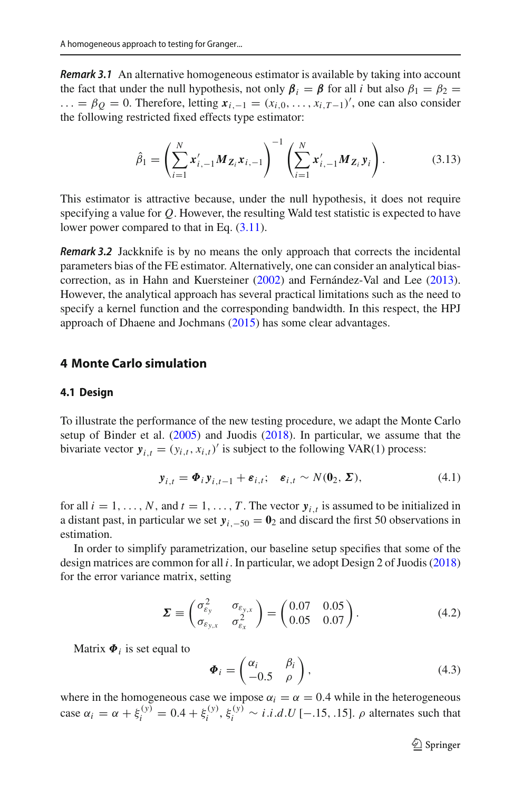*Remark 3.1* An alternative homogeneous estimator is available by taking into account the fact that under the null hypothesis, not only  $\beta_i = \beta$  for all *i* but also  $\beta_1 = \beta_2$  $\ldots = \beta_Q = 0$ . Therefore, letting  $x_{i,-1} = (x_{i,0}, \ldots, x_{i,T-1})'$ , one can also consider the following restricted fixed effects type estimator:

$$
\hat{\beta}_1 = \left(\sum_{i=1}^N x'_{i,-1} M_{Z_i} x_{i,-1}\right)^{-1} \left(\sum_{i=1}^N x'_{i,-1} M_{Z_i} y_i\right).
$$
 (3.13)

This estimator is attractive because, under the null hypothesis, it does not require specifying a value for *Q*. However, the resulting Wald test statistic is expected to have lower power compared to that in Eq.  $(3.11)$ .

*Remark 3.2* Jackknife is by no means the only approach that corrects the incidental parameters bias of the FE estimator. Alternatively, one can consider an analytical biascorrection, as in Hahn and Kuersteine[r](#page-19-17) [\(2002](#page-19-17)) and Fernández-Val and Le[e](#page-19-14) [\(2013](#page-19-14)). However, the analytical approach has several practical limitations such as the need to specify a kernel function and the corresponding bandwidth. In this respect, the HPJ approach of Dhaene and Jochman[s](#page-19-13) [\(2015](#page-19-13)) has some clear advantages.

#### <span id="page-7-0"></span>**4 Monte Carlo simulation**

#### **4.1 Design**

To illustrate the performance of the new testing procedure, we adapt the Monte Carlo setup of Binder et al[.](#page-19-3) [\(2005\)](#page-19-3) and Juodi[s](#page-19-7) [\(2018](#page-19-7)). In particular, we assume that the bivariate vector  $y_{i,t} = (y_{i,t}, x_{i,t})'$  is subject to the following VAR(1) process:

$$
\mathbf{y}_{i,t} = \boldsymbol{\Phi}_i \mathbf{y}_{i,t-1} + \boldsymbol{\varepsilon}_{i,t}; \quad \boldsymbol{\varepsilon}_{i,t} \sim N(\mathbf{0}_2, \boldsymbol{\Sigma}), \tag{4.1}
$$

for all  $i = 1, ..., N$ , and  $t = 1, ..., T$ . The vector  $y_{i,t}$  is assumed to be initialized in a distant past, in particular we set  $y_i$ <sub>,−50</sub> =  $\mathbf{0}_2$  and discard the first 50 observations in estimation.

In order to simplify parametrization, our baseline setup specifies that some of the design matrices are common for all *i*. In particular, we adopt Design 2 of Juodi[s](#page-19-7) [\(2018\)](#page-19-7) for the error variance matrix, setting

<span id="page-7-1"></span>
$$
\mathbf{\Sigma} \equiv \begin{pmatrix} \sigma_{\varepsilon_y}^2 & \sigma_{\varepsilon_{y,x}} \\ \sigma_{\varepsilon_{y,x}} & \sigma_{\varepsilon_x}^2 \end{pmatrix} = \begin{pmatrix} 0.07 & 0.05 \\ 0.05 & 0.07 \end{pmatrix} . \tag{4.2}
$$

Matrix  $\Phi_i$  is set equal to

$$
\boldsymbol{\Phi}_i = \begin{pmatrix} \alpha_i & \beta_i \\ -0.5 & \rho \end{pmatrix},\tag{4.3}
$$

where in the homogeneous case we impose  $\alpha_i = \alpha = 0.4$  while in the heterogeneous case  $\alpha_i = \alpha + \xi_i^{(y)} = 0.4 + \xi_i^{(y)}$ ,  $\xi_i^{(y)} \sim i.i.d.U$  [−.15, .15].  $\rho$  alternates such that

2 Springer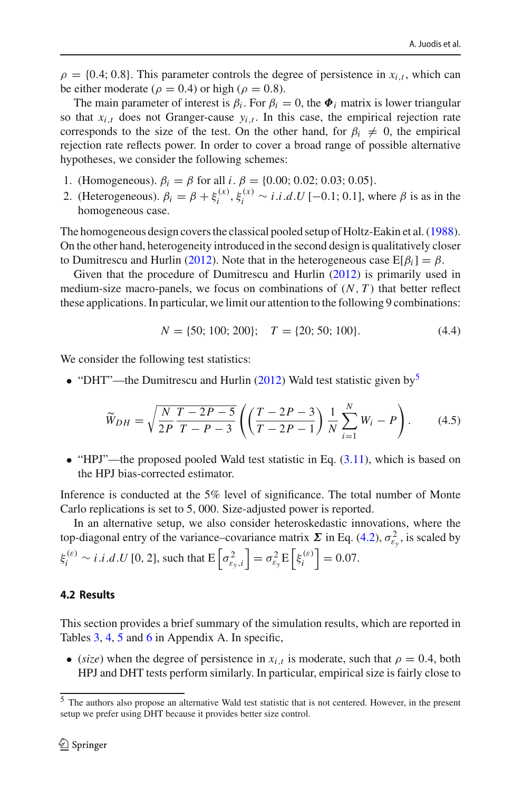$\rho = \{0.4; 0.8\}$ . This parameter controls the degree of persistence in  $x_{i,t}$ , which can be either moderate ( $\rho = 0.4$ ) or high ( $\rho = 0.8$ ).

The main parameter of interest is  $\beta_i$ . For  $\beta_i = 0$ , the  $\Phi_i$  matrix is lower triangular so that  $x_{i,t}$  does not Granger-cause  $y_{i,t}$ . In this case, the empirical rejection rate corresponds to the size of the test. On the other hand, for  $\beta_i \neq 0$ , the empirical rejection rate reflects power. In order to cover a broad range of possible alternative hypotheses, we consider the following schemes:

- 1. (Homogeneous).  $\beta_i = \beta$  for all *i*.  $\beta = \{0.00; 0.02; 0.03; 0.05\}.$
- 2. (Heterogeneous).  $\beta_i = \beta + \xi_i^{(x)}, \xi_i^{(x)} \sim i.i.d.U[-0.1; 0.1],$  where  $\beta$  is as in the homogeneous case.

The homogeneous design covers the classical pooled setup of Holtz-Eakin et al[.](#page-19-1) [\(1988](#page-19-1)). On the other hand, heterogeneity introduced in the second design is qualitatively closer to Dumitrescu a[n](#page-19-8)d Hurlin [\(2012\)](#page-19-8). Note that in the heterogeneous case  $E[\beta_i] = \beta$ .

Given that the procedure of Dumitrescu and Hurli[n](#page-19-8) [\(2012](#page-19-8)) is primarily used in medium-size macro-panels, we focus on combinations of (*N*, *T* ) that better reflect these applications. In particular, we limit our attention to the following 9 combinations:

$$
N = \{50; 100; 200\}; \quad T = \{20; 50; 100\}.
$$
 (4.4)

We consider the following test statistics:

• "DHT"—the Dumitrescu a[n](#page-19-8)d Hurlin  $(2012)$  $(2012)$  Wald test statistic given by<sup>5</sup>

$$
\widetilde{W}_{DH} = \sqrt{\frac{N}{2P} \frac{T - 2P - 5}{T - P - 3} \left( \left( \frac{T - 2P - 3}{T - 2P - 1} \right) \frac{1}{N} \sum_{i=1}^{N} W_i - P \right). \tag{4.5}
$$

• "HPJ"—the proposed pooled Wald test statistic in Eq.  $(3.11)$ , which is based on the HPJ bias-corrected estimator.

Inference is conducted at the 5% level of significance. The total number of Monte Carlo replications is set to 5, 000. Size-adjusted power is reported.

In an alternative setup, we also consider heteroskedastic innovations, where the top-diagonal entry of the variance–covariance matrix  $\Sigma$  in Eq. [\(4.2\)](#page-7-1),  $\sigma_{\varepsilon_y}^2$ , is scaled by  $\left| \xi_i^{(\varepsilon)} \sim i.i.d.U[0,2], \text{ such that } \mathbb{E} \left| \sigma_{\varepsilon_y,i}^2 \right| = \sigma_{\varepsilon_y}^2 \mathbb{E} \left| \xi_i^{(\varepsilon)} \right| = 0.07.$ 

#### **4.2 Results**

This section provides a brief summary of the simulation results, which are reported in Tables [3,](#page-15-0) [4,](#page-16-0) [5](#page-17-0) and [6](#page-18-0) in Appendix A. In specific,

• (*size*) when the degree of persistence in  $x_{i,t}$  is moderate, such that  $\rho = 0.4$ , both HPJ and DHT tests perform similarly. In particular, empirical size is fairly close to

<span id="page-8-0"></span><sup>5</sup> The authors also propose an alternative Wald test statistic that is not centered. However, in the present setup we prefer using DHT because it provides better size control.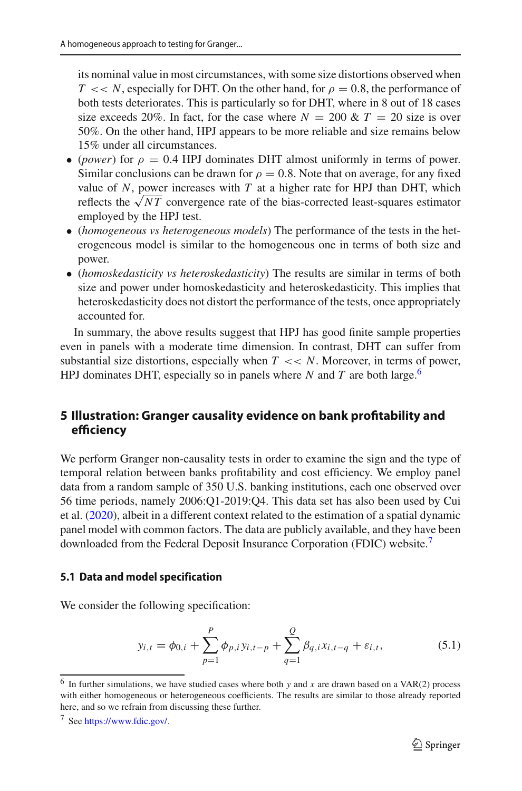its nominal value in most circumstances, with some size distortions observed when  $T \ll N$ , especially for DHT. On the other hand, for  $\rho = 0.8$ , the performance of both tests deteriorates. This is particularly so for DHT, where in 8 out of 18 cases size exceeds 20%. In fact, for the case where  $N = 200 \& T = 20$  size is over 50%. On the other hand, HPJ appears to be more reliable and size remains below 15% under all circumstances.

- (*power*) for  $\rho = 0.4$  HPJ dominates DHT almost uniformly in terms of power. Similar conclusions can be drawn for  $\rho = 0.8$ . Note that on average, for any fixed value of  $N$ , power increases with  $T$  at a higher rate for HPJ than DHT, which reflects the  $\sqrt{NT}$  convergence rate of the bias-corrected least-squares estimator employed by the HPJ test.
- (*homogeneous vs heterogeneous models*) The performance of the tests in the heterogeneous model is similar to the homogeneous one in terms of both size and power.
- (*homoskedasticity vs heteroskedasticity*) The results are similar in terms of both size and power under homoskedasticity and heteroskedasticity. This implies that heteroskedasticity does not distort the performance of the tests, once appropriately accounted for.

In summary, the above results suggest that HPJ has good finite sample properties even in panels with a moderate time dimension. In contrast, DHT can suffer from substantial size distortions, especially when  $T \ll N$ . Moreover, in terms of power, HPJ dominates DHT, especially so in panels where  $N$  and  $T$  are both large.<sup>[6](#page-9-1)</sup>

#### <span id="page-9-0"></span>**5 Illustration: Granger causality evidence on bank profitability and efficiency**

We perform Granger non-causality tests in order to examine the sign and the type of temporal relation between banks profitability and cost efficiency. We employ panel data from a random sample of 350 U.S. banking institutions, each one observed over 56 time periods, namely 2006:Q1-2019:Q4. This data set has also been used by Cui et al[.](#page-19-19) [\(2020](#page-19-19)), albeit in a different context related to the estimation of a spatial dynamic panel model with common factors. The data are publicly available, and they have been downloaded from the Federal Deposit Insurance Corporation (FDIC) website.[7](#page-9-2)

#### **5.1 Data and model specification**

We consider the following specification:

<span id="page-9-3"></span>
$$
y_{i,t} = \phi_{0,i} + \sum_{p=1}^{P} \phi_{p,i} y_{i,t-p} + \sum_{q=1}^{Q} \beta_{q,i} x_{i,t-q} + \varepsilon_{i,t},
$$
(5.1)

<span id="page-9-1"></span><sup>6</sup> In further simulations, we have studied cases where both *y* and *x* are drawn based on a VAR(2) process with either homogeneous or heterogeneous coefficients. The results are similar to those already reported here, and so we refrain from discussing these further.

<span id="page-9-2"></span><sup>7</sup> See [https://www.fdic.gov/.](https://www.fdic.gov/)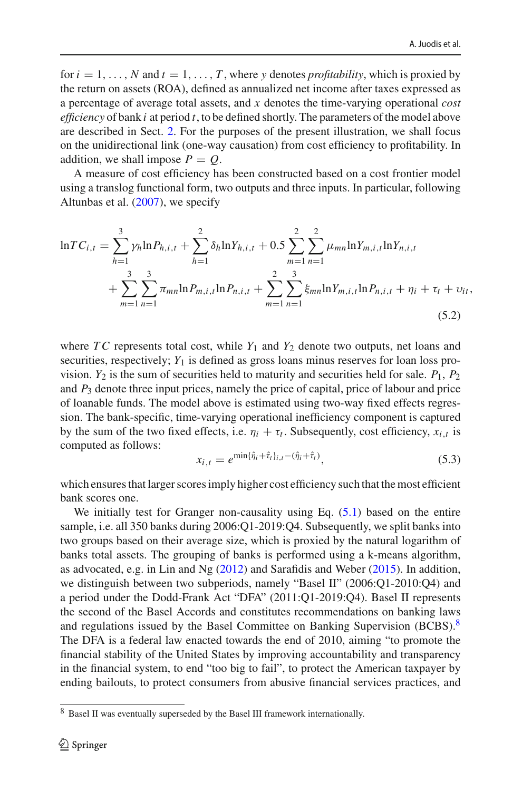for  $i = 1, \ldots, N$  and  $t = 1, \ldots, T$ , where y denotes *profitability*, which is proxied by the return on assets (ROA), defined as annualized net income after taxes expressed as a percentage of average total assets, and *x* denotes the time-varying operational *cost efficiency* of bank *i* at period *t*, to be defined shortly. The parameters of the model above are described in Sect. [2.](#page-3-0) For the purposes of the present illustration, we shall focus on the unidirectional link (one-way causation) from cost efficiency to profitability. In addition, we shall impose  $P = Q$ .

A measure of cost efficiency has been constructed based on a cost frontier model using a translog functional form, two outputs and three inputs. In particular, following Altunbas et al[.](#page-19-20)  $(2007)$  $(2007)$ , we specify

$$
\ln TC_{i,t} = \sum_{h=1}^{3} \gamma_h \ln P_{h,i,t} + \sum_{h=1}^{2} \delta_h \ln Y_{h,i,t} + 0.5 \sum_{m=1}^{2} \sum_{n=1}^{2} \mu_{mn} \ln Y_{m,i,t} \ln Y_{n,i,t} + \sum_{m=1}^{3} \sum_{n=1}^{3} \pi_{mn} \ln P_{m,i,t} \ln P_{n,i,t} + \sum_{m=1}^{2} \sum_{n=1}^{3} \xi_{mn} \ln Y_{m,i,t} \ln P_{n,i,t} + \eta_i + \tau_t + \nu_{it},
$$
\n(5.2)

where *TC* represents total cost, while  $Y_1$  and  $Y_2$  denote two outputs, net loans and securities, respectively;  $Y_1$  is defined as gross loans minus reserves for loan loss provision.  $Y_2$  is the sum of securities held to maturity and securities held for sale.  $P_1$ ,  $P_2$ and *P*<sup>3</sup> denote three input prices, namely the price of capital, price of labour and price of loanable funds. The model above is estimated using two-way fixed effects regression. The bank-specific, time-varying operational inefficiency component is captured by the sum of the two fixed effects, i.e.  $\eta_i + \tau_t$ . Subsequently, cost efficiency,  $x_{i,t}$  is computed as follows:

$$
x_{i,t} = e^{\min\{\hat{\eta}_i + \hat{\tau}_t\}_{i,t} - (\hat{\eta}_i + \hat{\tau}_t)}, \tag{5.3}
$$

which ensures that larger scores imply higher cost efficiency such that the most efficient bank scores one.

We initially test for Granger non-causality using Eq.  $(5.1)$  based on the entire sample, i.e. all 350 banks during 2006:Q1-2019:Q4. Subsequently, we split banks into two groups based on their average size, which is proxied by the natural logarithm of banks total assets. The grouping of banks is performed using a k-means algorithm, as advocated, e.g. in Lin and N[g](#page-19-21) [\(2012](#page-19-21)) and Sarafidis and Webe[r](#page-20-1) [\(2015\)](#page-20-1). In addition, we distinguish between two subperiods, namely "Basel II" (2006:Q1-2010:Q4) and a period under the Dodd-Frank Act "DFA" (2011:Q1-2019:Q4). Basel II represents the second of the Basel Accords and constitutes recommendations on banking laws and regulations issued by the Basel Committee on Banking Supervision (BCBS).<sup>8</sup> The DFA is a federal law enacted towards the end of 2010, aiming "to promote the financial stability of the United States by improving accountability and transparency in the financial system, to end "too big to fail", to protect the American taxpayer by ending bailouts, to protect consumers from abusive financial services practices, and

<span id="page-10-0"></span><sup>8</sup> Basel II was eventually superseded by the Basel III framework internationally.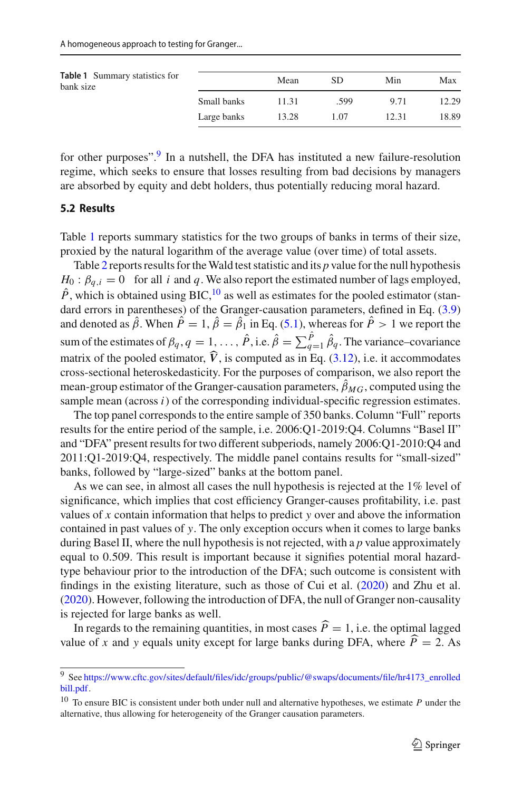<span id="page-11-1"></span>

| <b>Table 1</b> Summary statistics for<br>bank size |             | Mean  | SD   | Min   | Max   |
|----------------------------------------------------|-------------|-------|------|-------|-------|
|                                                    | Small banks | 11.31 | .599 | 9.71  | 12.29 |
|                                                    | Large banks | 13.28 | 1.07 | 12.31 | 18.89 |

for other purposes".<sup>[9](#page-11-0)</sup> In a nutshell, the DFA has instituted a new failure-resolution regime, which seeks to ensure that losses resulting from bad decisions by managers are absorbed by equity and debt holders, thus potentially reducing moral hazard.

#### **5.2 Results**

Table [1](#page-11-1) reports summary statistics for the two groups of banks in terms of their size, proxied by the natural logarithm of the average value (over time) of total assets.

Table  $2$  reports results for the Wald test statistic and its  $p$  value for the null hypothesis  $H_0: \beta_{q,i} = 0$  for all *i* and *q*. We also report the estimated number of lags employed,  $\hat{P}$ , which is obtained using BIC,<sup>10</sup> as well as estimates for the pooled estimator (standard errors in parentheses) of the Granger-causation parameters, defined in Eq. [\(3.9\)](#page-6-0) and denoted as  $\beta$ . When  $P = 1$ ,  $\beta = \beta_1$  in Eq. [\(5.1\)](#page-9-3), whereas for  $P > 1$  we report the sum of the estimates of  $\beta_q$ ,  $q = 1, \ldots, \hat{P}$ , i.e.  $\hat{\beta} = \sum_{q=1}^P \hat{\beta}_q$ . The variance–covariance matrix of the pooled estimator,  $V$ , is computed as in Eq.  $(3.12)$ , i.e. it accommodates cross-sectional heteroskedasticity. For the purposes of comparison, we also report the mean-group estimator of the Granger-causation parameters,  $\hat{\beta}_{MG}$ , computed using the sample mean (across *i*) of the corresponding individual-specific regression estimates.

The top panel corresponds to the entire sample of 350 banks. Column "Full" reports results for the entire period of the sample, i.e. 2006:Q1-2019:Q4. Columns "Basel II" and "DFA" present results for two different subperiods, namely 2006:Q1-2010:Q4 and 2011:Q1-2019:Q4, respectively. The middle panel contains results for "small-sized" banks, followed by "large-sized" banks at the bottom panel.

As we can see, in almost all cases the null hypothesis is rejected at the 1% level of significance, which implies that cost efficiency Granger-causes profitability, i.e. past values of *x* contain information that helps to predict *y* over and above the information contained in past values of *y*. The only exception occurs when it comes to large banks during Basel II, where the null hypothesis is not rejected, with a *p* value approximately equal to 0.509. This result is important because it signifies potential moral hazardtype behaviour prior to the introduction of the DFA; such outcome is consistent with findings in the existing literature, such as those of Cui et al[.](#page-19-19) [\(2020\)](#page-19-19) and Zhu et al[.](#page-20-2) [\(2020\)](#page-20-2). However, following the introduction of DFA, the null of Granger non-causality is rejected for large banks as well.

In regards to the remaining quantities, in most cases  $P = 1$ , i.e. the optimal lagged value of *x* and *y* equals unity except for large banks during DFA, where  $P = 2$ . As

<span id="page-11-0"></span><sup>9</sup> See [https://www.cftc.gov/sites/default/files/idc/groups/public/@swaps/documents/file/hr4173\\_enrolled](https://www.cftc.gov/sites/default/files/idc/groups/public/@swaps/documents/file/hr4173_enrolledbill.pdf) [bill.pdf.](https://www.cftc.gov/sites/default/files/idc/groups/public/@swaps/documents/file/hr4173_enrolledbill.pdf)

<span id="page-11-2"></span><sup>10</sup> To ensure BIC is consistent under both under null and alternative hypotheses, we estimate *P* under the alternative, thus allowing for heterogeneity of the Granger causation parameters.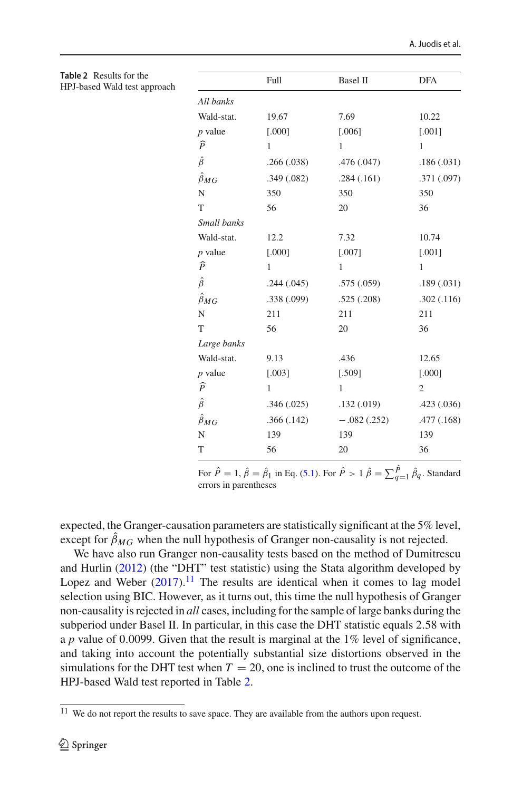<span id="page-12-0"></span>

| Table 2 Results for the<br>HPJ-based Wald test approach |                    | Full         | <b>Basel II</b> | <b>DFA</b>     |
|---------------------------------------------------------|--------------------|--------------|-----------------|----------------|
|                                                         | All banks          |              |                 |                |
|                                                         | Wald-stat.         | 19.67        | 7.69            | 10.22          |
|                                                         | $p$ value          | [.000]       | $[.006]$        | $[.001]$       |
|                                                         | $\widehat{P}$      | $\mathbf{1}$ | $\mathbf{1}$    | $\mathbf{1}$   |
|                                                         | $\hat{\beta}$      | .266(.038)   | .476 (.047)     | .186(.031)     |
|                                                         | $\hat{\beta}_{MG}$ | .349(.082)   | .284(.161)      | .371(.097)     |
|                                                         | $\,$ N             | 350          | 350             | 350            |
|                                                         | $\mathbf T$        | 56           | 20              | 36             |
|                                                         | Small banks        |              |                 |                |
|                                                         | Wald-stat.         | 12.2         | 7.32            | 10.74          |
|                                                         | $p$ value          | [.000]       | $[.007]$        | $[.001]$       |
|                                                         | $\widehat{P}$      | 1            | 1               | 1              |
|                                                         | $\hat{\beta}$      | .244(.045)   | .575(.059)      | .189(.031)     |
|                                                         | $\hat{\beta}_{MG}$ | .338 (.099)  | .525(.208)      | .302(.116)     |
|                                                         | N                  | 211          | 211             | 211            |
|                                                         | T                  | 56           | 20              | 36             |
|                                                         | Large banks        |              |                 |                |
|                                                         | Wald-stat.         | 9.13         | .436            | 12.65          |
|                                                         | $p$ value          | [.003]       | [.509]          | [.000]         |
|                                                         | $\widehat{P}$      | $1\,$        | $\mathbf{1}$    | $\overline{c}$ |
|                                                         | $\hat{\beta}$      | .346(.025)   | .132(.019)      | .423(.036)     |
|                                                         | $\hat{\beta}_{MG}$ | .366(.142)   | $-.082(.252)$   | .477(.168)     |
|                                                         | N                  | 139          | 139             | 139            |
|                                                         | T                  | 56           | 20              | 36             |

For  $\hat{P} = 1$ ,  $\hat{\beta} = \hat{\beta}_1$  in Eq. [\(5.1\)](#page-9-3). For  $\hat{P} > 1$   $\hat{\beta} = \sum_{q=1}^{P} \hat{\beta}_q$ . Standard errors in parentheses

expected, the Granger-causation parameters are statistically significant at the 5% level, except for  $\hat{\beta}_{MG}$  when the null hypothesis of Granger non-causality is not rejected.

We have also run Granger non-causality tests based on the method of Dumitrescu and Hurli[n](#page-19-8) [\(2012](#page-19-8)) (the "DHT" test statistic) using the Stata algorithm developed by Lopez and Webe[r](#page-19-22)  $(2017)$  $(2017)$ .<sup>[11](#page-12-1)</sup> The results are identical when it comes to lag model selection using BIC. However, as it turns out, this time the null hypothesis of Granger non-causality is rejected in *all* cases, including for the sample of large banks during the subperiod under Basel II. In particular, in this case the DHT statistic equals 2.58 with a  $p$  value of 0.0099. Given that the result is marginal at the  $1\%$  level of significance, and taking into account the potentially substantial size distortions observed in the simulations for the DHT test when  $T = 20$ , one is inclined to trust the outcome of the HPJ-based Wald test reported in Table [2.](#page-12-0)

<span id="page-12-1"></span><sup>&</sup>lt;sup>11</sup> We do not report the results to save space. They are available from the authors upon request.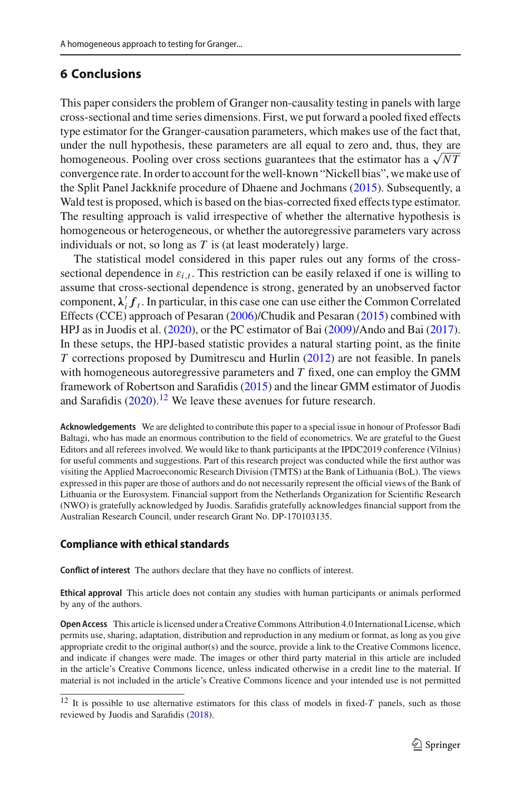#### <span id="page-13-0"></span>**6 Conclusions**

This paper considers the problem of Granger non-causality testing in panels with large cross-sectional and time series dimensions. First, we put forward a pooled fixed effects type estimator for the Granger-causation parameters, which makes use of the fact that, under the null hypothesis, these parameters are all equal to zero and, thus, they are homogeneous. Pooling over cross sections guarantees that the estimator has a  $\sqrt{NT}$ convergence rate. In order to account for the well-known "Nickell bias", we make use of the Split Panel Jackknife procedure of Dhaene and Jochman[s](#page-19-13) [\(2015\)](#page-19-13). Subsequently, a Wald test is proposed, which is based on the bias-corrected fixed effects type estimator. The resulting approach is valid irrespective of whether the alternative hypothesis is homogeneous or heterogeneous, or whether the autoregressive parameters vary across individuals or not, so long as *T* is (at least moderately) large.

The statistical model considered in this paper rules out any forms of the crosssectional dependence in  $\varepsilon_{i,t}$ . This restriction can be easily relaxed if one is willing to assume that cross-sectional dependence is strong, generated by an unobserved factor component, *λ <sup>i</sup> f <sup>t</sup>* . In particular, in this case one can use either the Common Correlated Effects (CCE) approach of Pesara[n](#page-19-23) [\(2006\)](#page-19-23)/Chudik and Pesara[n](#page-19-24) [\(2015\)](#page-19-24) combined with HPJ as in Juodis et al[.](#page-19-25) [\(2020](#page-19-25)), or the PC estimator of Ba[i](#page-19-26) [\(2009](#page-19-26))/Ando and Ba[i](#page-19-27) [\(2017](#page-19-27)). In these setups, the HPJ-based statistic provides a natural starting point, as the finite *T* corrections proposed by Dumitrescu and Hurli[n](#page-19-8) [\(2012\)](#page-19-8) are not feasible. In panels with homogeneous autoregressive parameters and  $T$  fixed, one can employ the GMM framework of Robertson and Sarafidi[s](#page-20-3) [\(2015\)](#page-20-3) and the linear GMM estimator of Juodis and Sarafidi[s](#page-19-28)  $(2020).<sup>12</sup>$  $(2020).<sup>12</sup>$  We leave these avenues for future research.

**Acknowledgements** We are delighted to contribute this paper to a special issue in honour of Professor Badi Baltagi, who has made an enormous contribution to the field of econometrics. We are grateful to the Guest Editors and all referees involved. We would like to thank participants at the IPDC2019 conference (Vilnius) for useful comments and suggestions. Part of this research project was conducted while the first author was visiting the Applied Macroeconomic Research Division (TMTS) at the Bank of Lithuania (BoL). The views expressed in this paper are those of authors and do not necessarily represent the official views of the Bank of Lithuania or the Eurosystem. Financial support from the Netherlands Organization for Scientific Research (NWO) is gratefully acknowledged by Juodis. Sarafidis gratefully acknowledges financial support from the Australian Research Council, under research Grant No. DP-170103135.

#### **Compliance with ethical standards**

**Conflict of interest** The authors declare that they have no conflicts of interest.

**Ethical approval** This article does not contain any studies with human participants or animals performed by any of the authors.

**Open Access** This article is licensed under a Creative Commons Attribution 4.0 International License, which permits use, sharing, adaptation, distribution and reproduction in any medium or format, as long as you give appropriate credit to the original author(s) and the source, provide a link to the Creative Commons licence, and indicate if changes were made. The images or other third party material in this article are included in the article's Creative Commons licence, unless indicated otherwise in a credit line to the material. If material is not included in the article's Creative Commons licence and your intended use is not permitted

<span id="page-13-1"></span><sup>12</sup> It is possible to use alternative estimators for this class of models in fixed-*T* panels, such as those reviewed by Juodis and Sarafidi[s](#page-19-29) [\(2018\)](#page-19-29).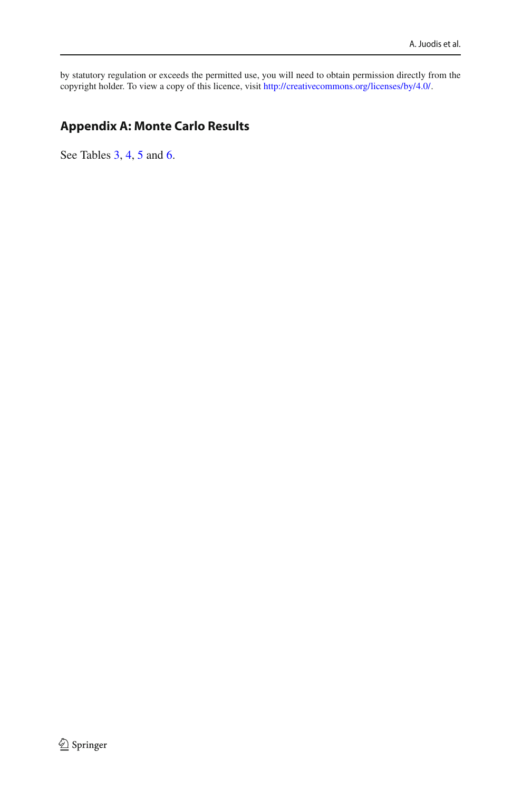by statutory regulation or exceeds the permitted use, you will need to obtain permission directly from the copyright holder. To view a copy of this licence, visit [http://creativecommons.org/licenses/by/4.0/.](http://creativecommons.org/licenses/by/4.0/)

## **Appendix A: Monte Carlo Results**

See Tables [3,](#page-15-0) [4,](#page-16-0) [5](#page-17-0) and [6.](#page-18-0)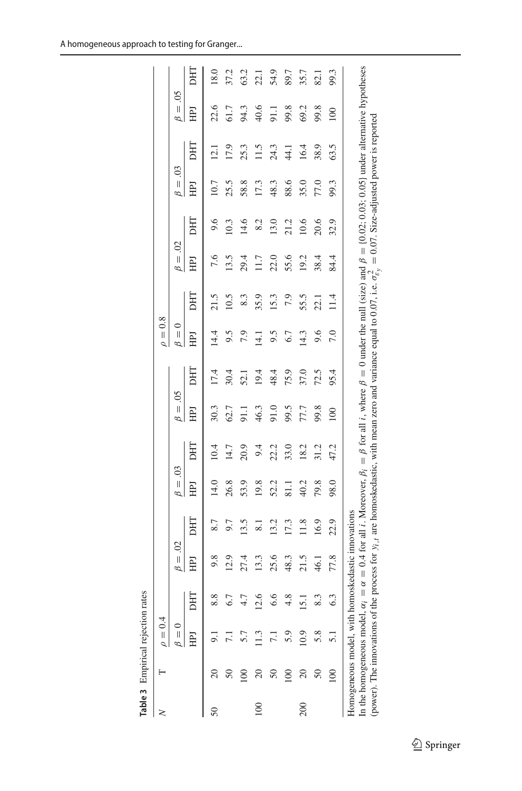|           | $\rho=0.4$                                                              |                     |               |                                                                                                                                                                                                                                                                                                                                                                                                               |                             |      |                                   |            | $\rho=0.8$  |      |                       |      |                             |                |                             |      |
|-----------|-------------------------------------------------------------------------|---------------------|---------------|---------------------------------------------------------------------------------------------------------------------------------------------------------------------------------------------------------------------------------------------------------------------------------------------------------------------------------------------------------------------------------------------------------------|-----------------------------|------|-----------------------------------|------------|-------------|------|-----------------------|------|-----------------------------|----------------|-----------------------------|------|
|           | $\beta = 0$                                                             |                     | $\beta = .02$ |                                                                                                                                                                                                                                                                                                                                                                                                               | $\overline{0}$<br>$\beta =$ |      | SO.<br>$\left\vert {}\right\vert$ |            | $\beta = 0$ |      | S<br>$\parallel$<br>B |      | $\ddot{\circ}$<br>$\beta =$ |                | $\overline{5}$<br>$\beta =$ |      |
|           | E                                                                       | DHT<br>$\mathbf{I}$ | Ξ             | DHT                                                                                                                                                                                                                                                                                                                                                                                                           | ΕĒ                          | DHT  | Ξ                                 | <b>DHT</b> | E           | DНT  | 目                     | DHT  | 目                           | DНT            | Ē                           | DHT  |
|           |                                                                         | ${}^{\circ}$        | 9.8           | 8.7                                                                                                                                                                                                                                                                                                                                                                                                           | 14.0                        | 10.4 | 30.3                              | 17.4       | 14.4        | 21.5 | 7.6                   | 9.6  | 10.7                        | 12.1           | 22.6                        | 18.0 |
|           |                                                                         | 6.7                 | 12.9          | 9.7                                                                                                                                                                                                                                                                                                                                                                                                           | 26.8                        | 14.7 | 62.7                              | 30.4       | 9.5         | 10.5 | 13.5                  | 10.3 | 25.5                        | 17.9           | $61.7$                      | 37.2 |
|           |                                                                         | 4.7                 | 27.4          | 13.5                                                                                                                                                                                                                                                                                                                                                                                                          | 53.9                        | 20.9 | 91.1                              | 52.1       | 7.9         | 8.3  | 29.4                  | 14.6 | 58.8                        | 25.3           | 94.3                        | 63.2 |
| 20        |                                                                         | 12.6                | 13.3          | $\overline{8}$ .                                                                                                                                                                                                                                                                                                                                                                                              | 19.8                        | 9.4  | 46.3                              | 19.4       | 14.1        | 35.9 | 11.7                  | 8.2  | 17.3                        | 11.5           | 40.6                        | 22.1 |
|           |                                                                         | 6.6                 | 25.6          | 13.2                                                                                                                                                                                                                                                                                                                                                                                                          | 52.2                        | 22.2 | 91.0                              | 48.4       | 9.5         | 15.3 | 22.0                  | 13.0 | 48.3                        | 24.3           | 91.1                        | 54.9 |
| $\approx$ | 5.9                                                                     | 4.8                 | 48.3          | 17.3                                                                                                                                                                                                                                                                                                                                                                                                          | 81.1                        | 33.0 | 99.5                              | 75.9       | 6.7         | 7.9  | 55.6                  | 21.2 | 88.6                        | $\overline{4}$ | 99.8                        | 89.7 |
| $\approx$ | 10.9                                                                    | 15.1                | 21.5          | 11.8                                                                                                                                                                                                                                                                                                                                                                                                          | 40.2                        | 18.2 | 77.7                              | 37.0       | 14.3        | 55.5 | 19.2                  | 10.6 | 35.0                        | 16.4           | 69.2                        | 35.7 |
|           |                                                                         | 8.3                 | 46.1          | 16.9                                                                                                                                                                                                                                                                                                                                                                                                          | 79.8                        | 31.2 | 99.8                              | 72.5       | 9.6         | 22.1 | 38.4                  | 20.6 | 77.0                        | 38.9           | 99.8                        | 82.1 |
|           |                                                                         | 6.3                 | 77.8          | 22.9                                                                                                                                                                                                                                                                                                                                                                                                          | 98.0                        | 47.2 | 100                               | 95.4       | 7.0         | 11.4 | 84.4                  | 32.9 | 99.3                        | 63.5           | 100                         | 99.3 |
|           | (power). The innovations of the<br>In the homogeneous model, $\alpha_i$ |                     |               | $\alpha = 0.4$ for all <i>i</i> . Moreover, $\beta_i = \beta$ for all <i>i</i> , where $\beta = 0$ under the null (size) and $\beta = \{0.02, 0.03, 0.05\}$ under alternative hypotheses<br>process for $y_{i,t}$ are homoskedastic, with mean zero and variance equal to 0.07, i.e. $\sigma_{\varepsilon_y}^2 = 0.07$ . Size-adjusted power is reported<br>Homogeneous model, with homoskedastic innovations |                             |      |                                   |            |             |      |                       |      |                             |                |                             |      |
|           |                                                                         |                     |               |                                                                                                                                                                                                                                                                                                                                                                                                               |                             |      |                                   |            |             |      |                       |      |                             |                |                             |      |

<span id="page-15-0"></span>Table 3 Empirical rejection rates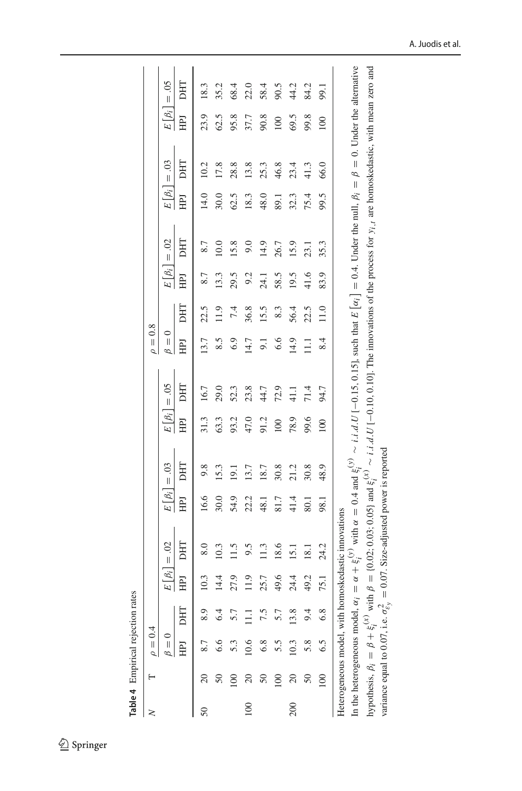|    | $\rho=0.4$  |                                                  |      |                                                                                                                                                                                                                                                 |                  |      |      |                    | $\rho=0.8$  |      |                    |      |                  |      |                           |            |
|----|-------------|--------------------------------------------------|------|-------------------------------------------------------------------------------------------------------------------------------------------------------------------------------------------------------------------------------------------------|------------------|------|------|--------------------|-------------|------|--------------------|------|------------------|------|---------------------------|------------|
|    | $\beta = 0$ |                                                  |      | $E[\beta_i] = .02$                                                                                                                                                                                                                              | $E[\beta_i]=.03$ |      |      | $E[\beta_i] = .05$ | $\beta = 0$ |      | $E[\beta_i] = .02$ |      | $E[\beta_i]=.03$ |      | $E\left[\beta_{i}\right]$ | $= 0.5$    |
|    |             |                                                  | ΕĒ   | DHT                                                                                                                                                                                                                                             | ĒЩ               | DHT  | EH   | DHT                | Ē           | DHT  | Ē                  | DHT  | HPJ              | DHT  | Ξ                         | DHT        |
|    |             |                                                  | 10.3 | 8.0                                                                                                                                                                                                                                             | 16.6             | 9.8  | 31.3 | 16.7               | 13.7        | 22.5 | 8.7                | 8.7  | 14.0             | 10.2 | 23.9                      | 18.3       |
|    | 6.6         |                                                  | 14.4 | 10.3                                                                                                                                                                                                                                            | 30.0             | 15.3 | 63.3 | 29.0               | 8.5         | 11.9 | 13.3               | 10.0 | 30.0             | 17.8 | 62.5                      | 35.2       |
|    |             |                                                  | 27.9 | 1.5                                                                                                                                                                                                                                             | 54.9             | 19.1 | 93.2 | 52.3               | 6.9         | 7.4  | 29.5               | 15.8 | 62.5             | 28.8 | 95.8                      | 68.4       |
| 20 | 10.6        |                                                  | 11.9 | 9.5                                                                                                                                                                                                                                             | 22.2             | 13.7 | 47.0 | 23.8               | 14.7        | 36.8 | 9.2                | 9.0  | 18.3             | 13.8 | 37.7                      | 22.0       |
|    | 6.8         |                                                  | 25.7 | 11.3                                                                                                                                                                                                                                            | 48.1             | 18.7 | 91.2 | 44.7               | 9.1         | 15.5 | 24.1               | 14.9 | 48.0             | 25.3 | 90.8                      | 58.4       |
|    | 5.5         |                                                  | 49.6 | 18.6                                                                                                                                                                                                                                            | 81.7             | 30.8 | 100  | 72.9               | 6.6         | 8.3  | 58.5               | 26.7 | 89.1             | 46.8 | 100                       | 90.5       |
|    | 10.3        | 13.8                                             | 24.4 | 15.1                                                                                                                                                                                                                                            | 41.4             | 21.2 | 78.9 | 41.1               | 14.9        | 56.4 | 19.5               | 15.9 | 32.3             | 23.4 | 69.5                      | 44.2       |
|    | 5.8         |                                                  | 49.2 | 18.1                                                                                                                                                                                                                                            | 80.1             | 30.8 | 9.6  | 71.4               | Ξ           | 22.5 | 41.6               | 23.1 | 75.4             | 41.3 | 99.8                      | 84.2       |
|    | 6.5         |                                                  | 75.1 | 24.2                                                                                                                                                                                                                                            | 98.1             | 48.9 | 100  | 94.7               | 8.4         | 11.0 | 83.9               | 35.3 | 99.5             | 66.0 | 100                       | <b>LGG</b> |
|    |             | In the heterogeneous model, $\alpha_i$           |      | $= \alpha + \xi_1^{(y)}$ with $\alpha = 0.4$ and $\xi_1^{(y)} \sim i.i.d.U[-0.15, 0.15]$ , such that $E[\alpha_i] = 0.4$ . Under the null, $\beta_i = \beta = 0$ . Under the alternative<br>Heterogeneous model, with homoskedastic innovations |                  |      |      |                    |             |      |                    |      |                  |      |                           |            |
|    |             | hypothesis, $\beta_i = \beta + \xi_i^{(x)}$ with |      | $\beta = \{0.02, 0.03, 0.05\}$ and $\xi_i^{(N)} \sim i.i.d. U[-0.10, 0.10]$ . The innovations of the process for $y_i$ , are homoskedastic, with mean zero and                                                                                  |                  |      |      |                    |             |      |                    |      |                  |      |                           |            |
|    |             |                                                  |      | variance equal to 0.07, i.e. $\sigma_{\varepsilon_v}^2 = 0.07$ . Size-adjusted power is reported                                                                                                                                                |                  |      |      |                    |             |      |                    |      |                  |      |                           |            |

<span id="page-16-0"></span>Table 4 Empirical rejection rates **Table 4** Empirical rejection rates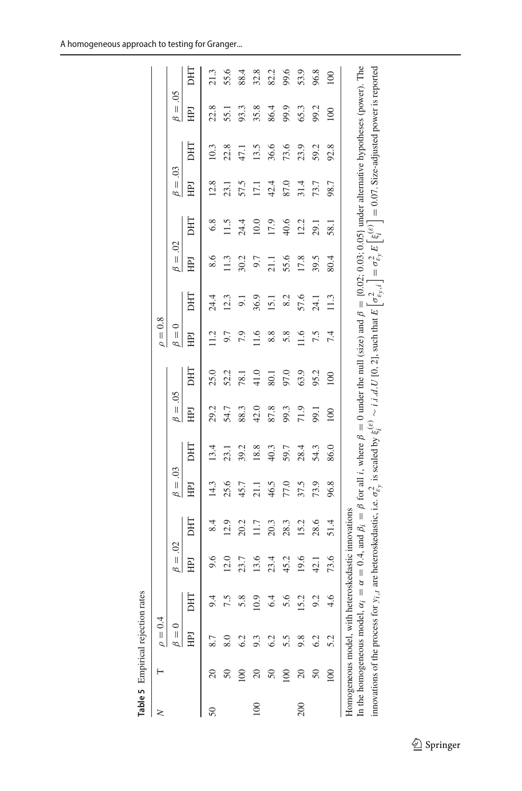<span id="page-17-0"></span>Table 5 Empirical rejection rates

|                      | $\rho=0.4$                           |         |                                        |                                                                                                                                                                                                                                                |                                |      |                                        |            | $\rho=0.8$ |               |                                    |                     |                             |                      |                                         |      |
|----------------------|--------------------------------------|---------|----------------------------------------|------------------------------------------------------------------------------------------------------------------------------------------------------------------------------------------------------------------------------------------------|--------------------------------|------|----------------------------------------|------------|------------|---------------|------------------------------------|---------------------|-----------------------------|----------------------|-----------------------------------------|------|
|                      | $\beta = 0$                          |         | $\overline{0}$<br>$\lvert \rvert$<br>B |                                                                                                                                                                                                                                                | 03<br>$\label{eq:1} \bigsqcup$ |      | $\overline{5}$<br>$\lvert \rvert$<br>B |            | $\beta=0$  |               | $\overline{0}$<br>$\parallel$<br>B |                     | $\ddot{\circ}$<br>$\beta =$ |                      | $\overline{5}$<br>$\frac{\beta}{\beta}$ |      |
|                      | HPJ                                  | DHT     | ĒЕ                                     | DHT                                                                                                                                                                                                                                            | E                              | DHT  | Ē                                      | <b>DHT</b> | E          | DHT           | E                                  | DHT                 | E                           | FН                   | E                                       | DHT  |
|                      | 8.7                                  | 9.4     | 9.6                                    | 8.4                                                                                                                                                                                                                                            | 14.3                           | 13.4 | 29.2                                   | 25.0       | 11.2       | 24.4          | 8.6                                | 6.8                 | 12.8                        | 10.3                 | 22.8                                    | 21.3 |
|                      |                                      | 7.5     | 12.0                                   | 12.9                                                                                                                                                                                                                                           | 25.6                           | 23.1 | 54.7                                   | 52.2       | 9.7        | 12.3          | 11.3                               | 11.5                | 23.1                        | 22.8                 | 55.1                                    | 55.6 |
|                      |                                      | $5.8$   | 23.7                                   | 20.2                                                                                                                                                                                                                                           | 45.7                           | 39.2 | 88.3                                   | 78.1       | 7.9        | 51            | 30.2                               | 24.4                | 57.5                        | 47.1                 | 93.3                                    | 88.4 |
| 20                   | 9.3                                  | 10.9    | 13.6                                   | $11.7$                                                                                                                                                                                                                                         | 21.1                           | 18.8 | 42.0                                   | 41.0       | 11.6       | 36.9          | 9.7                                | 10.0                | 17.1                        | 13.5                 | 35.8                                    | 32.8 |
|                      | 6.2                                  | 6.4     | 23.4                                   | 20.3                                                                                                                                                                                                                                           | 46.5<br>77.0                   | 40.3 | 87.8                                   | 80.1       | 8.8        | 15.1          | 21.1                               | 17.9                | 42.4<br>87.0                | 36.6                 | 86.4                                    | 82.2 |
| $_{\odot}^{\circ}$   | 5.5                                  |         | 45.2                                   | 28.3                                                                                                                                                                                                                                           |                                | 59.7 | 99.3                                   | 97.0       | 5.8        | $8.2\,$       | 55.6                               | 40.6                |                             | 73.6                 | 99.9                                    | 99.6 |
| 20                   | 9.8                                  | 5.2 9.2 | 19.6                                   | 15.2                                                                                                                                                                                                                                           | 37.5                           | 28.4 | 71.9                                   | 63.9       | 11.6       | 57.6          | 17.8                               | 12.2                | 31.4                        | 23.9                 | 65.3                                    | 53.9 |
|                      | 6.2                                  |         | 42.1                                   | 28.6                                                                                                                                                                                                                                           | 73.9                           | 54.3 | 99.1                                   | 95.2       | 7.5        | 24.1          | 39.5                               | 29.1                | 73.7                        | 59.2                 | 99.2                                    | 96.8 |
| $\approx$            | 5.2                                  | $\circ$ | 73.6                                   | 51.4                                                                                                                                                                                                                                           | 96.8                           | 86.0 | 100                                    | 100        | 7.4        | 11.3          | 80.4                               | 58.1                | 98.7                        | 92.8                 | 100                                     | 100  |
|                      | In the homogeneous model, $\alpha_i$ |         |                                        | $\alpha = \alpha = 0.4$ , and $\beta_i = \beta$ for all <i>i</i> , where $\beta = 0$ under the null (size) and $\beta = \{0.02, 0.03, 0.05\}$ under alternative hypotheses (power). The<br>Homogeneous model, with heteroskedastic innovations |                                |      |                                        |            |            |               |                                    |                     |                             |                      |                                         |      |
| $\ddot{\phantom{a}}$ |                                      |         |                                        | $\frac{1}{2}$                                                                                                                                                                                                                                  |                                |      |                                        |            |            | $\frac{1}{2}$ |                                    | $\gamma$ – $[0.66]$ | ;<br>;<br>;                 | $\ddot{\phantom{a}}$ | $\ddot{\phantom{0}}$                    |      |

innovations of the process for  $y_i$ , are heteroskedastic, i.e.  $\sigma_{\xi_2}^2$  is scaled by  $\xi_1^{(e)} \sim i.i.d$ .  $U[0, 2]$ , such that  $E\left[\sigma_{\xi_2}^2, i\right] = \sigma_{\xi_2}^2 E\left[\xi_1^{(e)}\right] = 0.07$ . Size-adjusted power is reported innovations of the process for  $y_{i,t}$  are heteroskedastic, i.e.  $\sigma_{\xi_j}^2$  is scaled by  $\xi_i^{(s)} \sim i.i.d.U$  [0, 2], such that  $E\left[\sigma_{\xi_j,i}^2\right] = \sigma_{\xi_j}^2 E\left[\xi_i^{(s)}\right] = 0.07$ . Size-adjusted power is reported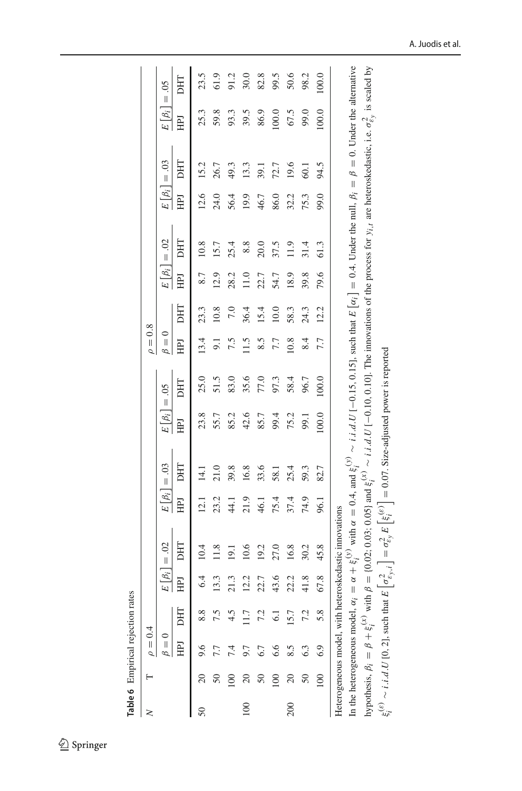|     |     | $\rho=0.4$  |                                        |      |                                                       |              |                                                                                                                                                                                                                                                                                                                                                                                                                                                                                                                                                                                                 |                         |         | $\rho=0.8$  |      |                         |         |                 |      |              |        |
|-----|-----|-------------|----------------------------------------|------|-------------------------------------------------------|--------------|-------------------------------------------------------------------------------------------------------------------------------------------------------------------------------------------------------------------------------------------------------------------------------------------------------------------------------------------------------------------------------------------------------------------------------------------------------------------------------------------------------------------------------------------------------------------------------------------------|-------------------------|---------|-------------|------|-------------------------|---------|-----------------|------|--------------|--------|
|     |     | $\beta = 0$ |                                        |      | $E \beta_i =0.2$                                      | $E \beta_i $ | $= .03$                                                                                                                                                                                                                                                                                                                                                                                                                                                                                                                                                                                         | $E\left[\beta_i\right]$ | $= 0.5$ | $\beta = 0$ |      | $E\left[\beta_i\right]$ | $= .02$ | $E \beta_i =03$ |      | $E \beta_i $ | $50 =$ |
|     |     | Ë           |                                        | E    | <b>DHT</b>                                            | E            | DHT                                                                                                                                                                                                                                                                                                                                                                                                                                                                                                                                                                                             | Ξ                       | DHT     | Ē           | DHT  | Ē                       | DHT     | Ē               | DHT  | Ē            | DHT    |
|     |     |             |                                        | 6.4  | 10.4                                                  | 12.1         | $\frac{14.1}{5}$                                                                                                                                                                                                                                                                                                                                                                                                                                                                                                                                                                                | 23.8                    | 25.0    | 13.4        | 23.3 | 8.7                     | 10.8    | 12.6            | 15.2 | 25.3         | 23.5   |
|     |     |             |                                        | 13.3 | 11.8                                                  | 23.2         | 21.0                                                                                                                                                                                                                                                                                                                                                                                                                                                                                                                                                                                            | 55.7                    | 51.5    | 9.1         | 10.8 | 12.9                    | 15.7    | 24.0            | 26.7 | 59.8         | 61.9   |
|     |     |             |                                        | 21.3 | 19.1                                                  | 44.1         | 39.8                                                                                                                                                                                                                                                                                                                                                                                                                                                                                                                                                                                            | 85.2                    | 83.0    | 7.5         | 7.0  | 28.2                    | 25.4    | 56.4            | 49.3 | 93.3         | 91.2   |
|     |     |             |                                        | 12.2 | 10.6                                                  | 21.9         | 16.8                                                                                                                                                                                                                                                                                                                                                                                                                                                                                                                                                                                            | 42.6                    | 35.6    | 11.5        | 36.4 | 11.0                    | 8.8     | 19.9            | 13.3 | 39.5         | 30.0   |
|     |     |             |                                        | 22.7 | 19.2                                                  | 46.1         | 33.6                                                                                                                                                                                                                                                                                                                                                                                                                                                                                                                                                                                            | 85.7                    | 77.0    | 8.5         | 15.4 | 22.7                    | 20.0    | 46.7            | 39.1 | 86.9         | 82.8   |
|     |     | 6.6         |                                        | 43.6 | 27.0                                                  | 75.4         | 58.1                                                                                                                                                                                                                                                                                                                                                                                                                                                                                                                                                                                            | 99.4                    | 97.3    | 7.7         | 10.0 | 54.7                    | 37.5    | 86.0            | 72.7 | 100.0        | 99.5   |
| 200 |     |             | 15.7                                   | 22.2 | 16.8                                                  | 37.4         | 25.4                                                                                                                                                                                                                                                                                                                                                                                                                                                                                                                                                                                            | 75.2                    | 58.4    | 10.8        | 58.3 | 18.9                    | 11.9    | 32.2            | 19.6 | 67.5         | 50.6   |
|     |     | 6.3         |                                        | 41.8 | 30.2                                                  | 74.9         | 59.3                                                                                                                                                                                                                                                                                                                                                                                                                                                                                                                                                                                            | 99.1                    | 96.7    | 8.4         | 24.3 | 39.8                    | 31.4    | 75.3            | 60.1 | 99.0         | 98.2   |
|     | 100 | 6.9         |                                        | 67.8 | 45.8                                                  | 96.1         | 82.7                                                                                                                                                                                                                                                                                                                                                                                                                                                                                                                                                                                            | 100.0                   | 100.0   | 7.7         | 12.2 | 79.6                    | 61.3    | 99.0            | 94.5 | 100.0        | 100.0  |
|     |     |             | In the heterogeneous model, $\alpha_i$ |      | Heterogeneous model, with heteroskedastic innovations |              | $= \alpha + \xi_1^{(0)}$ with $\alpha = 0.4$ , and $\xi_1^{(0)} \sim i.i.d.U[-0.15]$ , such that $E[\alpha_i] = 0.4$ . Under the null, $\beta_i = \beta = 0$ . Under the alternative<br>hypothesis, $\beta_i = \beta + \xi_i^{(x)}$ with $\beta = \{0.02, 0.03, 0.05\}$ and $\xi_i^{(x)} \sim i.i.d. U[-0.10, 0.10]$ . The innovations of the process for $y_i$ , are heteroskedastic, i.e. $\sigma_{\xi_i}^2$ is scaled by<br>$\xi_i^{(e)} \sim i.i.d.U[0,2]$ , such that $E\left[\sigma_{e_y,i}^2\right] = \sigma_{e_y}^2 E\left[\xi_i^{(e)}\right] = 0.07$ . Size-adjusted power is reported |                         |         |             |      |                         |         |                 |      |              |        |
|     |     |             |                                        |      |                                                       |              |                                                                                                                                                                                                                                                                                                                                                                                                                                                                                                                                                                                                 |                         |         |             |      |                         |         |                 |      |              |        |

<span id="page-18-0"></span>Table 6 Empirical rejection rates **Table 6** Empirical rejection rates

## $\underline{\textcircled{\tiny 2}}$  Springer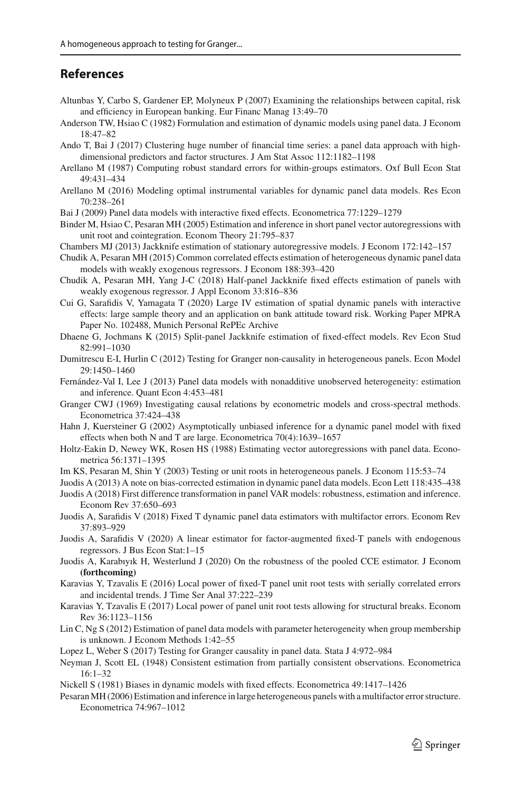#### **References**

- <span id="page-19-20"></span>Altunbas Y, Carbo S, Gardener EP, Molyneux P (2007) Examining the relationships between capital, risk and efficiency in European banking. Eur Financ Manag 13:49–70
- <span id="page-19-2"></span>Anderson TW, Hsiao C (1982) Formulation and estimation of dynamic models using panel data. J Econom 18:47–82
- <span id="page-19-27"></span>Ando T, Bai J (2017) Clustering huge number of financial time series: a panel data approach with highdimensional predictors and factor structures. J Am Stat Assoc 112:1182–1198
- <span id="page-19-18"></span>Arellano M (1987) Computing robust standard errors for within-groups estimators. Oxf Bull Econ Stat 49:431–434
- <span id="page-19-6"></span>Arellano M (2016) Modeling optimal instrumental variables for dynamic panel data models. Res Econ 70:238–261
- <span id="page-19-26"></span>Bai J (2009) Panel data models with interactive fixed effects. Econometrica 77:1229–1279
- <span id="page-19-3"></span>Binder M, Hsiao C, Pesaran MH (2005) Estimation and inference in short panel vector autoregressions with unit root and cointegration. Econom Theory 21:795–837
- <span id="page-19-15"></span>Chambers MJ (2013) Jackknife estimation of stationary autoregressive models. J Econom 172:142–157
- <span id="page-19-24"></span>Chudik A, Pesaran MH (2015) Common correlated effects estimation of heterogeneous dynamic panel data models with weakly exogenous regressors. J Econom 188:393–420
- <span id="page-19-16"></span>Chudik A, Pesaran MH, Yang J-C (2018) Half-panel Jackknife fixed effects estimation of panels with weakly exogenous regressor. J Appl Econom 33:816–836
- <span id="page-19-19"></span>Cui G, Sarafidis V, Yamagata T (2020) Large IV estimation of spatial dynamic panels with interactive effects: large sample theory and an application on bank attitude toward risk. Working Paper MPRA Paper No. 102488, Munich Personal RePEc Archive
- <span id="page-19-13"></span>Dhaene G, Jochmans K (2015) Split-panel Jackknife estimation of fixed-effect models. Rev Econ Stud 82:991–1030
- <span id="page-19-8"></span>Dumitrescu E-I, Hurlin C (2012) Testing for Granger non-causality in heterogeneous panels. Econ Model 29:1450–1460
- <span id="page-19-14"></span>Fernández-Val I, Lee J (2013) Panel data models with nonadditive unobserved heterogeneity: estimation and inference. Quant Econ 4:453–481
- <span id="page-19-0"></span>Granger CWJ (1969) Investigating causal relations by econometric models and cross-spectral methods. Econometrica 37:424–438
- <span id="page-19-17"></span>Hahn J, Kuersteiner G (2002) Asymptotically unbiased inference for a dynamic panel model with fixed effects when both N and T are large. Econometrica 70(4):1639–1657
- <span id="page-19-1"></span>Holtz-Eakin D, Newey WK, Rosen HS (1988) Estimating vector autoregressions with panel data. Econometrica 56:1371–1395
- <span id="page-19-9"></span>Im KS, Pesaran M, Shin Y (2003) Testing or unit roots in heterogeneous panels. J Econom 115:53–74

<span id="page-19-5"></span>Juodis A (2013) A note on bias-corrected estimation in dynamic panel data models. Econ Lett 118:435–438

- <span id="page-19-7"></span>Juodis A (2018) First difference transformation in panel VAR models: robustness, estimation and inference. Econom Rev 37:650–693
- <span id="page-19-29"></span>Juodis A, Sarafidis V (2018) Fixed T dynamic panel data estimators with multifactor errors. Econom Rev 37:893–929
- <span id="page-19-28"></span>Juodis A, Sarafidis V (2020) A linear estimator for factor-augmented fixed-T panels with endogenous regressors. J Bus Econ Stat:1–15
- <span id="page-19-25"></span>Juodis A, Karabıyık H, Westerlund J (2020) On the robustness of the pooled CCE estimator. J Econom **(forthcoming)**
- <span id="page-19-12"></span>Karavias Y, Tzavalis E (2016) Local power of fixed-T panel unit root tests with serially correlated errors and incidental trends. J Time Ser Anal 37:222–239
- <span id="page-19-4"></span>Karavias Y, Tzavalis E (2017) Local power of panel unit root tests allowing for structural breaks. Econom Rev 36:1123–1156
- <span id="page-19-21"></span>Lin C, Ng S (2012) Estimation of panel data models with parameter heterogeneity when group membership is unknown. J Econom Methods 1:42–55
- <span id="page-19-22"></span>Lopez L, Weber S (2017) Testing for Granger causality in panel data. Stata J 4:972–984
- <span id="page-19-10"></span>Neyman J, Scott EL (1948) Consistent estimation from partially consistent observations. Econometrica 16:1–32
- <span id="page-19-11"></span>Nickell S (1981) Biases in dynamic models with fixed effects. Econometrica 49:1417–1426
- <span id="page-19-23"></span>PesaranMH (2006) Estimation and inference in large heterogeneous panels with a multifactor error structure. Econometrica 74:967–1012